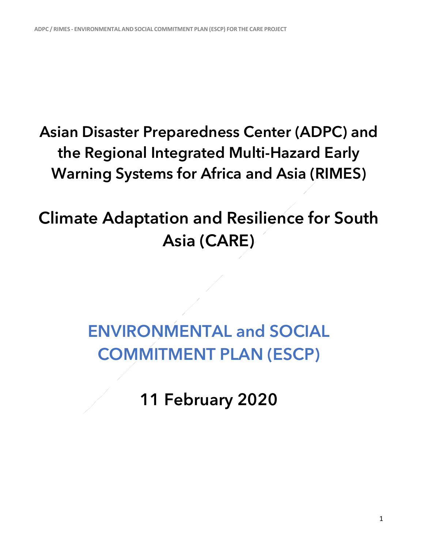## **Asian Disaster Preparedness Center (ADPC) and the Regional Integrated Multi-Hazard Early Warning Systems for Africa and Asia (RIMES)**

## **Climate Adaptation and Resilience for South Asia (CARE)**

## **ENVIRONMENTAL and SOCIAL COMMITMENT PLAN (ESCP)**

**11 February 2020**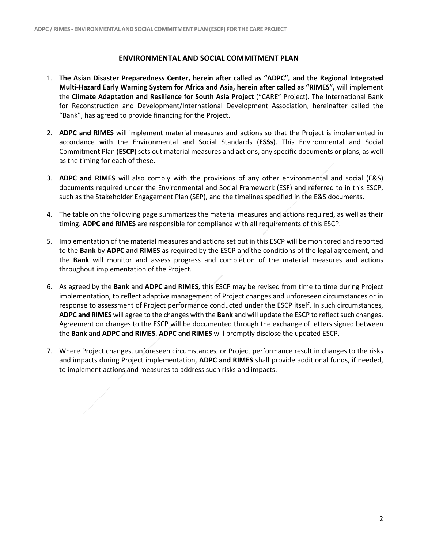## **ENVIRONMENTAL AND SOCIAL COMMITMENT PLAN**

- 1. **The Asian Disaster Preparedness Center, herein after called as "ADPC", and the Regional Integrated Multi-Hazard Early Warning System for Africa and Asia, herein after called as "RIMES",** will implement the **Climate Adaptation and Resilience for South Asia Project** ("CARE" Project). The International Bank for Reconstruction and Development/International Development Association, hereinafter called the "Bank", has agreed to provide financing for the Project.
- 2. **ADPC and RIMES** will implement material measures and actions so that the Project is implemented in accordance with the Environmental and Social Standards (**ESSs**). This Environmental and Social Commitment Plan (**ESCP**) sets out material measures and actions, any specific documents or plans, as well as the timing for each of these.
- 3. **ADPC and RIMES** will also comply with the provisions of any other environmental and social (E&S) documents required under the Environmental and Social Framework (ESF) and referred to in this ESCP, such as the Stakeholder Engagement Plan (SEP), and the timelines specified in the E&S documents.
- 4. The table on the following page summarizes the material measures and actions required, as well as their timing. **ADPC and RIMES** are responsible for compliance with all requirements of this ESCP.
- 5. Implementation of the material measures and actions set out in this ESCP will be monitored and reported to the **Bank** by **ADPC and RIMES** as required by the ESCP and the conditions of the legal agreement, and the **Bank** will monitor and assess progress and completion of the material measures and actions throughout implementation of the Project.
- 6. As agreed by the **Bank** and **ADPC and RIMES**, this ESCP may be revised from time to time during Project implementation, to reflect adaptive management of Project changes and unforeseen circumstances or in response to assessment of Project performance conducted under the ESCP itself. In such circumstances, **ADPC and RIMES** will agree to the changes with the **Bank** and will update the ESCP to reflect such changes. Agreement on changes to the ESCP will be documented through the exchange of letters signed between the **Bank** and **ADPC and RIMES**. **ADPC and RIMES** will promptly disclose the updated ESCP.
- 7. Where Project changes, unforeseen circumstances, or Project performance result in changes to the risks and impacts during Project implementation, **ADPC and RIMES** shall provide additional funds, if needed, to implement actions and measures to address such risks and impacts.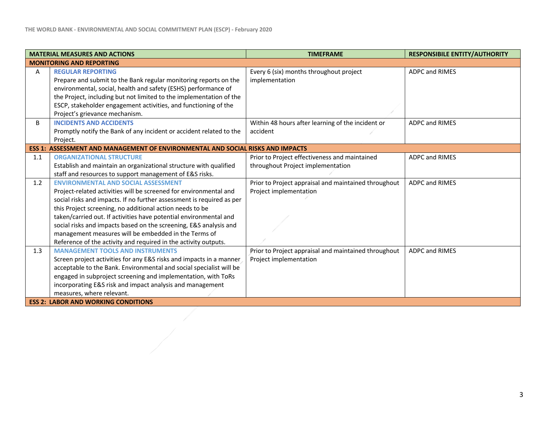| <b>MATERIAL MEASURES AND ACTIONS</b>       |                                                                                                   | <b>TIMEFRAME</b>                                     | <b>RESPONSIBILE ENTITY/AUTHORITY</b> |  |
|--------------------------------------------|---------------------------------------------------------------------------------------------------|------------------------------------------------------|--------------------------------------|--|
| <b>MONITORING AND REPORTING</b>            |                                                                                                   |                                                      |                                      |  |
| A                                          | <b>REGULAR REPORTING</b>                                                                          | Every 6 (six) months throughout project              | <b>ADPC and RIMES</b>                |  |
|                                            | Prepare and submit to the Bank regular monitoring reports on the                                  | implementation                                       |                                      |  |
|                                            | environmental, social, health and safety (ESHS) performance of                                    |                                                      |                                      |  |
|                                            | the Project, including but not limited to the implementation of the                               |                                                      |                                      |  |
|                                            | ESCP, stakeholder engagement activities, and functioning of the<br>Project's grievance mechanism. |                                                      |                                      |  |
| B                                          | <b>INCIDENTS AND ACCIDENTS</b>                                                                    | Within 48 hours after learning of the incident or    | <b>ADPC and RIMES</b>                |  |
|                                            | Promptly notify the Bank of any incident or accident related to the                               | accident                                             |                                      |  |
|                                            | Project.                                                                                          |                                                      |                                      |  |
|                                            | ESS 1: ASSESSMENT AND MANAGEMENT OF ENVIRONMENTAL AND SOCIAL RISKS AND IMPACTS                    |                                                      |                                      |  |
| 1.1                                        | <b>ORGANIZATIONAL STRUCTURE</b>                                                                   | Prior to Project effectiveness and maintained        | <b>ADPC and RIMES</b>                |  |
|                                            | Establish and maintain an organizational structure with qualified                                 | throughout Project implementation                    |                                      |  |
|                                            | staff and resources to support management of E&S risks.                                           |                                                      |                                      |  |
| 1.2                                        | <b>ENVIRONMENTAL AND SOCIAL ASSESSMENT</b>                                                        | Prior to Project appraisal and maintained throughout | <b>ADPC and RIMES</b>                |  |
|                                            | Project-related activities will be screened for environmental and                                 | Project implementation                               |                                      |  |
|                                            | social risks and impacts. If no further assessment is required as per                             |                                                      |                                      |  |
|                                            | this Project screening, no additional action needs to be                                          |                                                      |                                      |  |
|                                            | taken/carried out. If activities have potential environmental and                                 |                                                      |                                      |  |
|                                            | social risks and impacts based on the screening, E&S analysis and                                 |                                                      |                                      |  |
|                                            | management measures will be embedded in the Terms of                                              |                                                      |                                      |  |
|                                            | Reference of the activity and required in the activity outputs.                                   |                                                      |                                      |  |
| 1.3                                        | <b>MANAGEMENT TOOLS AND INSTRUMENTS</b>                                                           | Prior to Project appraisal and maintained throughout | <b>ADPC and RIMES</b>                |  |
|                                            | Screen project activities for any E&S risks and impacts in a manner                               | Project implementation                               |                                      |  |
|                                            | acceptable to the Bank. Environmental and social specialist will be                               |                                                      |                                      |  |
|                                            | engaged in subproject screening and implementation, with ToRs                                     |                                                      |                                      |  |
|                                            | incorporating E&S risk and impact analysis and management                                         |                                                      |                                      |  |
|                                            | measures, where relevant.                                                                         |                                                      |                                      |  |
| <b>ESS 2: LABOR AND WORKING CONDITIONS</b> |                                                                                                   |                                                      |                                      |  |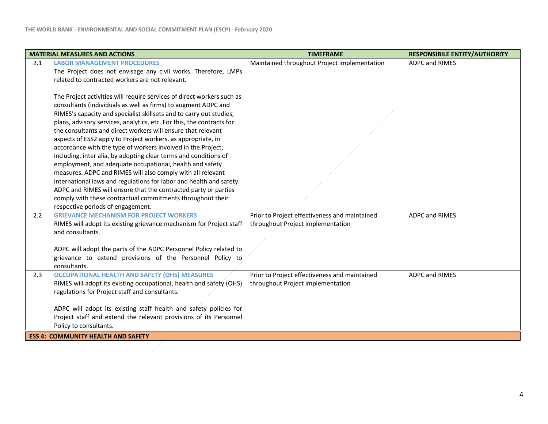| Maintained throughout Project implementation<br><b>ADPC and RIMES</b><br><b>LABOR MANAGEMENT PROCEDURES</b><br>2.1<br>The Project does not envisage any civil works. Therefore, LMPs<br>related to contracted workers are not relevant.<br>The Project activities will require services of direct workers such as<br>consultants (individuals as well as firms) to augment ADPC and<br>RIMES's capacity and specialist skillsets and to carry out studies,<br>plans, advisory services, analytics, etc. For this, the contracts for<br>the consultants and direct workers will ensure that relevant<br>aspects of ESS2 apply to Project workers, as appropriate, in<br>accordance with the type of workers involved in the Project, |  |  |  |  |
|-------------------------------------------------------------------------------------------------------------------------------------------------------------------------------------------------------------------------------------------------------------------------------------------------------------------------------------------------------------------------------------------------------------------------------------------------------------------------------------------------------------------------------------------------------------------------------------------------------------------------------------------------------------------------------------------------------------------------------------|--|--|--|--|
|                                                                                                                                                                                                                                                                                                                                                                                                                                                                                                                                                                                                                                                                                                                                     |  |  |  |  |
|                                                                                                                                                                                                                                                                                                                                                                                                                                                                                                                                                                                                                                                                                                                                     |  |  |  |  |
|                                                                                                                                                                                                                                                                                                                                                                                                                                                                                                                                                                                                                                                                                                                                     |  |  |  |  |
|                                                                                                                                                                                                                                                                                                                                                                                                                                                                                                                                                                                                                                                                                                                                     |  |  |  |  |
|                                                                                                                                                                                                                                                                                                                                                                                                                                                                                                                                                                                                                                                                                                                                     |  |  |  |  |
|                                                                                                                                                                                                                                                                                                                                                                                                                                                                                                                                                                                                                                                                                                                                     |  |  |  |  |
|                                                                                                                                                                                                                                                                                                                                                                                                                                                                                                                                                                                                                                                                                                                                     |  |  |  |  |
|                                                                                                                                                                                                                                                                                                                                                                                                                                                                                                                                                                                                                                                                                                                                     |  |  |  |  |
|                                                                                                                                                                                                                                                                                                                                                                                                                                                                                                                                                                                                                                                                                                                                     |  |  |  |  |
|                                                                                                                                                                                                                                                                                                                                                                                                                                                                                                                                                                                                                                                                                                                                     |  |  |  |  |
|                                                                                                                                                                                                                                                                                                                                                                                                                                                                                                                                                                                                                                                                                                                                     |  |  |  |  |
| including, inter alia, by adopting clear terms and conditions of                                                                                                                                                                                                                                                                                                                                                                                                                                                                                                                                                                                                                                                                    |  |  |  |  |
| employment, and adequate occupational, health and safety                                                                                                                                                                                                                                                                                                                                                                                                                                                                                                                                                                                                                                                                            |  |  |  |  |
| measures. ADPC and RIMES will also comply with all relevant                                                                                                                                                                                                                                                                                                                                                                                                                                                                                                                                                                                                                                                                         |  |  |  |  |
| international laws and regulations for labor and health and safety.                                                                                                                                                                                                                                                                                                                                                                                                                                                                                                                                                                                                                                                                 |  |  |  |  |
| ADPC and RIMES will ensure that the contracted party or parties                                                                                                                                                                                                                                                                                                                                                                                                                                                                                                                                                                                                                                                                     |  |  |  |  |
| comply with these contractual commitments throughout their                                                                                                                                                                                                                                                                                                                                                                                                                                                                                                                                                                                                                                                                          |  |  |  |  |
| respective periods of engagement.<br>2.2<br><b>GRIEVANCE MECHANISM FOR PROJECT WORKERS</b><br>ADPC and RIMES                                                                                                                                                                                                                                                                                                                                                                                                                                                                                                                                                                                                                        |  |  |  |  |
| Prior to Project effectiveness and maintained<br>throughout Project implementation                                                                                                                                                                                                                                                                                                                                                                                                                                                                                                                                                                                                                                                  |  |  |  |  |
| RIMES will adopt its existing grievance mechanism for Project staff<br>and consultants.                                                                                                                                                                                                                                                                                                                                                                                                                                                                                                                                                                                                                                             |  |  |  |  |
|                                                                                                                                                                                                                                                                                                                                                                                                                                                                                                                                                                                                                                                                                                                                     |  |  |  |  |
| ADPC will adopt the parts of the ADPC Personnel Policy related to                                                                                                                                                                                                                                                                                                                                                                                                                                                                                                                                                                                                                                                                   |  |  |  |  |
| grievance to extend provisions of the Personnel Policy to                                                                                                                                                                                                                                                                                                                                                                                                                                                                                                                                                                                                                                                                           |  |  |  |  |
| consultants.                                                                                                                                                                                                                                                                                                                                                                                                                                                                                                                                                                                                                                                                                                                        |  |  |  |  |
| <b>OCCUPATIONAL HEALTH AND SAFETY (OHS) MEASURES</b><br>Prior to Project effectiveness and maintained<br><b>ADPC and RIMES</b><br>2.3                                                                                                                                                                                                                                                                                                                                                                                                                                                                                                                                                                                               |  |  |  |  |
| RIMES will adopt its existing occupational, health and safety (OHS)<br>throughout Project implementation                                                                                                                                                                                                                                                                                                                                                                                                                                                                                                                                                                                                                            |  |  |  |  |
| regulations for Project staff and consultants.                                                                                                                                                                                                                                                                                                                                                                                                                                                                                                                                                                                                                                                                                      |  |  |  |  |
|                                                                                                                                                                                                                                                                                                                                                                                                                                                                                                                                                                                                                                                                                                                                     |  |  |  |  |
| ADPC will adopt its existing staff health and safety policies for                                                                                                                                                                                                                                                                                                                                                                                                                                                                                                                                                                                                                                                                   |  |  |  |  |
| Project staff and extend the relevant provisions of its Personnel                                                                                                                                                                                                                                                                                                                                                                                                                                                                                                                                                                                                                                                                   |  |  |  |  |
| Policy to consultants.                                                                                                                                                                                                                                                                                                                                                                                                                                                                                                                                                                                                                                                                                                              |  |  |  |  |
| <b>ESS 4: COMMUNITY HEALTH AND SAFETY</b>                                                                                                                                                                                                                                                                                                                                                                                                                                                                                                                                                                                                                                                                                           |  |  |  |  |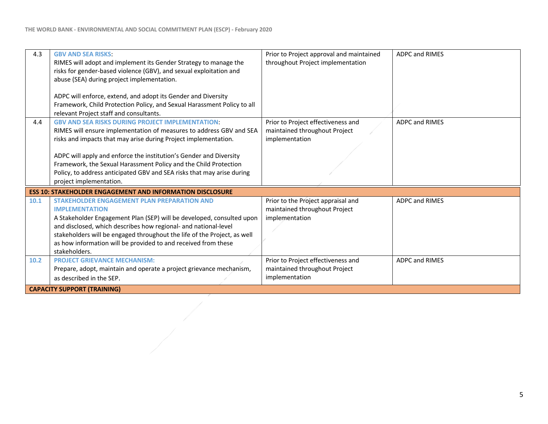| 4.3                                                              | <b>GBV AND SEA RISKS:</b>                                                                                                              | Prior to Project approval and maintained | <b>ADPC and RIMES</b> |  |
|------------------------------------------------------------------|----------------------------------------------------------------------------------------------------------------------------------------|------------------------------------------|-----------------------|--|
|                                                                  | RIMES will adopt and implement its Gender Strategy to manage the<br>risks for gender-based violence (GBV), and sexual exploitation and | throughout Project implementation        |                       |  |
|                                                                  | abuse (SEA) during project implementation.                                                                                             |                                          |                       |  |
|                                                                  |                                                                                                                                        |                                          |                       |  |
|                                                                  | ADPC will enforce, extend, and adopt its Gender and Diversity                                                                          |                                          |                       |  |
|                                                                  | Framework, Child Protection Policy, and Sexual Harassment Policy to all                                                                |                                          |                       |  |
|                                                                  | relevant Project staff and consultants.                                                                                                |                                          |                       |  |
| 4.4                                                              | <b>GBV AND SEA RISKS DURING PROJECT IMPLEMENTATION:</b>                                                                                | Prior to Project effectiveness and       | <b>ADPC and RIMES</b> |  |
|                                                                  | RIMES will ensure implementation of measures to address GBV and SEA                                                                    | maintained throughout Project            |                       |  |
|                                                                  | risks and impacts that may arise during Project implementation.                                                                        | implementation                           |                       |  |
|                                                                  |                                                                                                                                        |                                          |                       |  |
|                                                                  | ADPC will apply and enforce the institution's Gender and Diversity                                                                     |                                          |                       |  |
|                                                                  | Framework, the Sexual Harassment Policy and the Child Protection                                                                       |                                          |                       |  |
|                                                                  | Policy, to address anticipated GBV and SEA risks that may arise during                                                                 |                                          |                       |  |
|                                                                  | project implementation.                                                                                                                |                                          |                       |  |
| <b>ESS 10: STAKEHOLDER ENGAGEMENT AND INFORMATION DISCLOSURE</b> |                                                                                                                                        |                                          |                       |  |
| 10.1                                                             | <b>STAKEHOLDER ENGAGEMENT PLAN PREPARATION AND</b>                                                                                     | Prior to the Project appraisal and       | <b>ADPC and RIMES</b> |  |
|                                                                  | <b>IMPLEMENTATION</b>                                                                                                                  | maintained throughout Project            |                       |  |
|                                                                  | A Stakeholder Engagement Plan (SEP) will be developed, consulted upon                                                                  | implementation                           |                       |  |
|                                                                  | and disclosed, which describes how regional- and national-level                                                                        |                                          |                       |  |
|                                                                  | stakeholders will be engaged throughout the life of the Project, as well                                                               |                                          |                       |  |
|                                                                  | as how information will be provided to and received from these                                                                         |                                          |                       |  |
|                                                                  | stakeholders.                                                                                                                          |                                          |                       |  |
| 10.2                                                             | <b>PROJECT GRIEVANCE MECHANISM:</b>                                                                                                    | Prior to Project effectiveness and       | <b>ADPC and RIMES</b> |  |
|                                                                  | Prepare, adopt, maintain and operate a project grievance mechanism,                                                                    | maintained throughout Project            |                       |  |
|                                                                  | as described in the SEP.                                                                                                               | implementation                           |                       |  |
| <b>CAPACITY SUPPORT (TRAINING)</b>                               |                                                                                                                                        |                                          |                       |  |